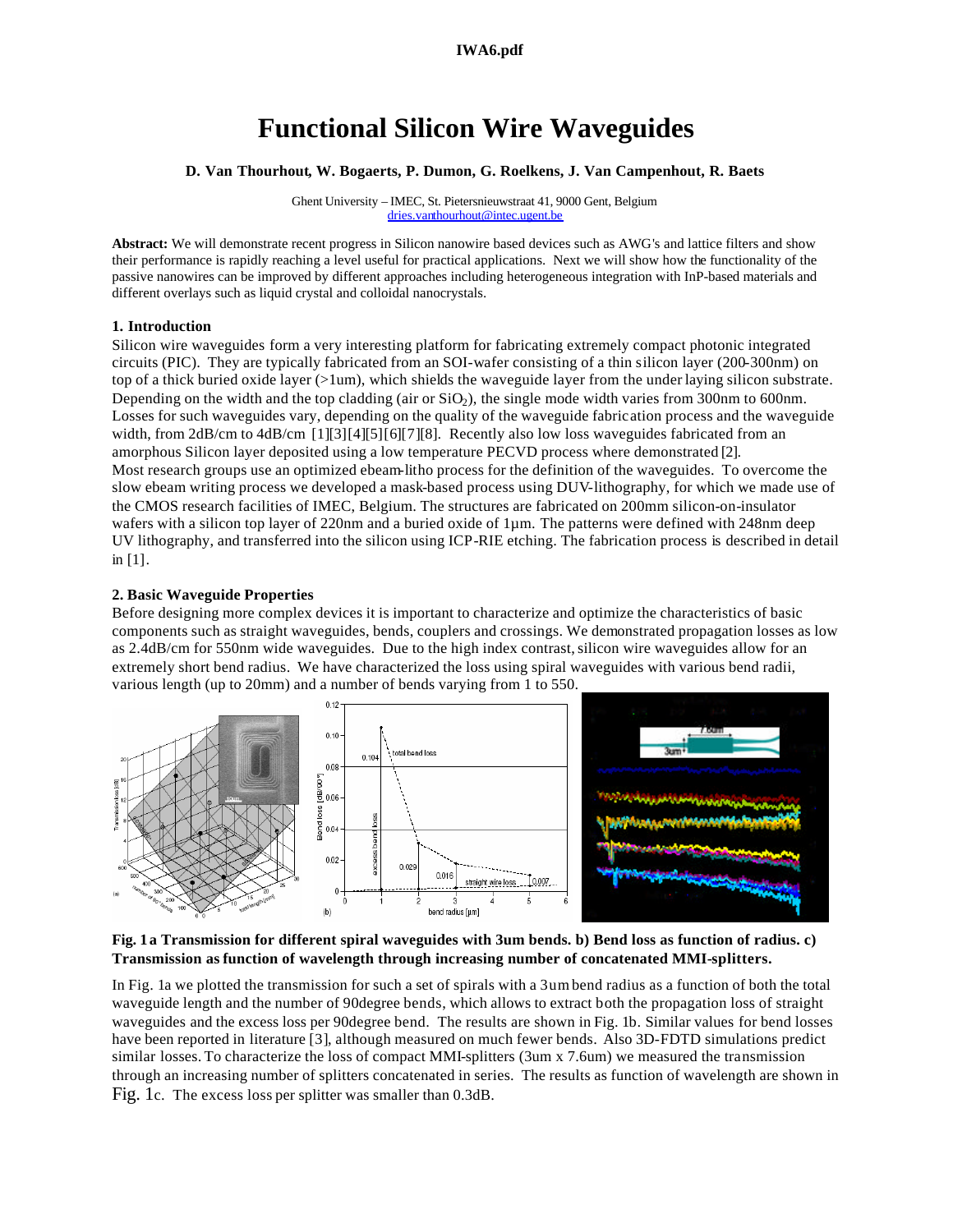# **Functional Silicon Wire Waveguides**

#### **D. Van Thourhout, W. Bogaerts, P. Dumon, G. Roelkens, J. Van Campenhout, R. Baets**

Ghent University – IMEC, St. Pietersnieuwstraat 41, 9000 Gent, Belgium dries.vanthourhout@intec.ugent.be

**Abstract:** We will demonstrate recent progress in Silicon nanowire based devices such as AWG's and lattice filters and show their performance is rapidly reaching a level useful for practical applications. Next we will show how the functionality of the passive nanowires can be improved by different approaches including heterogeneous integration with InP-based materials and different overlays such as liquid crystal and colloidal nanocrystals.

#### **1. Introduction**

Silicon wire waveguides form a very interesting platform for fabricating extremely compact photonic integrated circuits (PIC). They are typically fabricated from an SOI-wafer consisting of a thin silicon layer (200-300nm) on top of a thick buried oxide layer (>1um), which shields the waveguide layer from the under laying silicon substrate. Depending on the width and the top cladding (air or  $SiO<sub>2</sub>$ ), the single mode width varies from 300nm to 600nm. Losses for such waveguides vary, depending on the quality of the waveguide fabrication process and the waveguide width, from 2dB/cm to 4dB/cm [1][3][4][5][6][7][8]. Recently also low loss waveguides fabricated from an amorphous Silicon layer deposited using a low temperature PECVD process where demonstrated [2]. Most research groups use an optimized ebeam-litho process for the definition of the waveguides. To overcome the slow ebeam writing process we developed a mask-based process using DUV-lithography, for which we made use of the CMOS research facilities of IMEC, Belgium. The structures are fabricated on 200mm silicon-on-insulator wafers with a silicon top layer of 220nm and a buried oxide of 1µm. The patterns were defined with 248nm deep UV lithography, and transferred into the silicon using ICP-RIE etching. The fabrication process is described in detail in [1].

#### **2. Basic Waveguide Properties**

Before designing more complex devices it is important to characterize and optimize the characteristics of basic components such as straight waveguides, bends, couplers and crossings. We demonstrated propagation losses as low as 2.4dB/cm for 550nm wide waveguides. Due to the high index contrast,silicon wire waveguides allow for an extremely short bend radius. We have characterized the loss using spiral waveguides with various bend radii, various length (up to 20mm) and a number of bends varying from 1 to 550.



**Fig. 1a Transmission for different spiral waveguides with 3um bends. b) Bend loss as function of radius. c) Transmission as function of wavelength through increasing number of concatenated MMI-splitters.**

In Fig. 1a we plotted the transmission for such a set of spirals with a 3umbend radius as a function of both the total waveguide length and the number of 90degree bends, which allows to extract both the propagation loss of straight waveguides and the excess loss per 90degree bend. The results are shown in Fig. 1b. Similar values for bend losses have been reported in literature [3], although measured on much fewer bends. Also 3D-FDTD simulations predict similar losses. To characterize the loss of compact MMI-splitters (3um x 7.6um) we measured the transmission through an increasing number of splitters concatenated in series. The results as function of wavelength are shown in Fig. 1c. The excess loss per splitter was smaller than 0.3dB.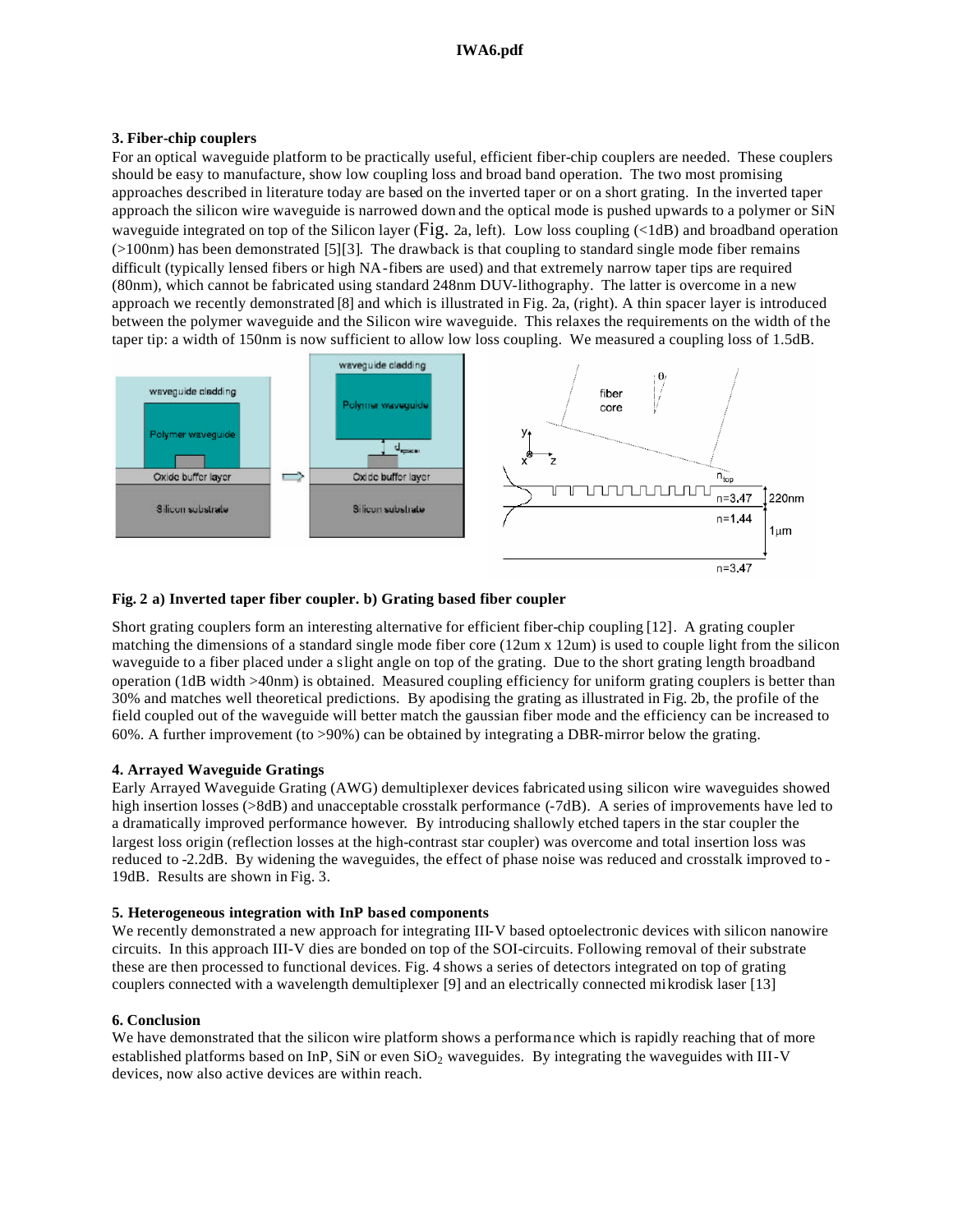### **IWA6.pdf**

#### **3. Fiber-chip couplers**

For an optical waveguide platform to be practically useful, efficient fiber-chip couplers are needed. These couplers should be easy to manufacture, show low coupling loss and broad band operation. The two most promising approaches described in literature today are based on the inverted taper or on a short grating. In the inverted taper approach the silicon wire waveguide is narrowed down and the optical mode is pushed upwards to a polymer or SiN waveguide integrated on top of the Silicon layer (Fig. 2a, left). Low loss coupling (<1dB) and broadband operation (>100nm) has been demonstrated [5][3]. The drawback is that coupling to standard single mode fiber remains difficult (typically lensed fibers or high NA-fibers are used) and that extremely narrow taper tips are required (80nm), which cannot be fabricated using standard 248nm DUV-lithography. The latter is overcome in a new approach we recently demonstrated [8] and which is illustrated in Fig. 2a, (right). A thin spacer layer is introduced between the polymer waveguide and the Silicon wire waveguide. This relaxes the requirements on the width of the taper tip: a width of 150nm is now sufficient to allow low loss coupling. We measured a coupling loss of 1.5dB.



# **Fig. 2 a) Inverted taper fiber coupler. b) Grating based fiber coupler**

Short grating couplers form an interesting alternative for efficient fiber-chip coupling [12]. A grating coupler matching the dimensions of a standard single mode fiber core (12um x 12um) is used to couple light from the silicon waveguide to a fiber placed under a slight angle on top of the grating. Due to the short grating length broadband operation (1dB width >40nm) is obtained. Measured coupling efficiency for uniform grating couplers is better than 30% and matches well theoretical predictions. By apodising the grating as illustrated in Fig. 2b, the profile of the field coupled out of the waveguide will better match the gaussian fiber mode and the efficiency can be increased to 60%. A further improvement (to >90%) can be obtained by integrating a DBR-mirror below the grating.

# **4. Arrayed Waveguide Gratings**

Early Arrayed Waveguide Grating (AWG) demultiplexer devices fabricated using silicon wire waveguides showed high insertion losses (>8dB) and unacceptable crosstalk performance (-7dB). A series of improvements have led to a dramatically improved performance however. By introducing shallowly etched tapers in the star coupler the largest loss origin (reflection losses at the high-contrast star coupler) was overcome and total insertion loss was reduced to -2.2dB. By widening the waveguides, the effect of phase noise was reduced and crosstalk improved to - 19dB. Results are shown in Fig. 3.

# **5. Heterogeneous integration with InP based components**

We recently demonstrated a new approach for integrating III-V based optoelectronic devices with silicon nanowire circuits. In this approach III-V dies are bonded on top of the SOI-circuits. Following removal of their substrate these are then processed to functional devices. Fig. 4 shows a series of detectors integrated on top of grating couplers connected with a wavelength demultiplexer [9] and an electrically connected mikrodisk laser [13]

# **6. Conclusion**

We have demonstrated that the silicon wire platform shows a performance which is rapidly reaching that of more established platforms based on InP, SiN or even  $SiO<sub>2</sub>$  waveguides. By integrating the waveguides with III-V devices, now also active devices are within reach.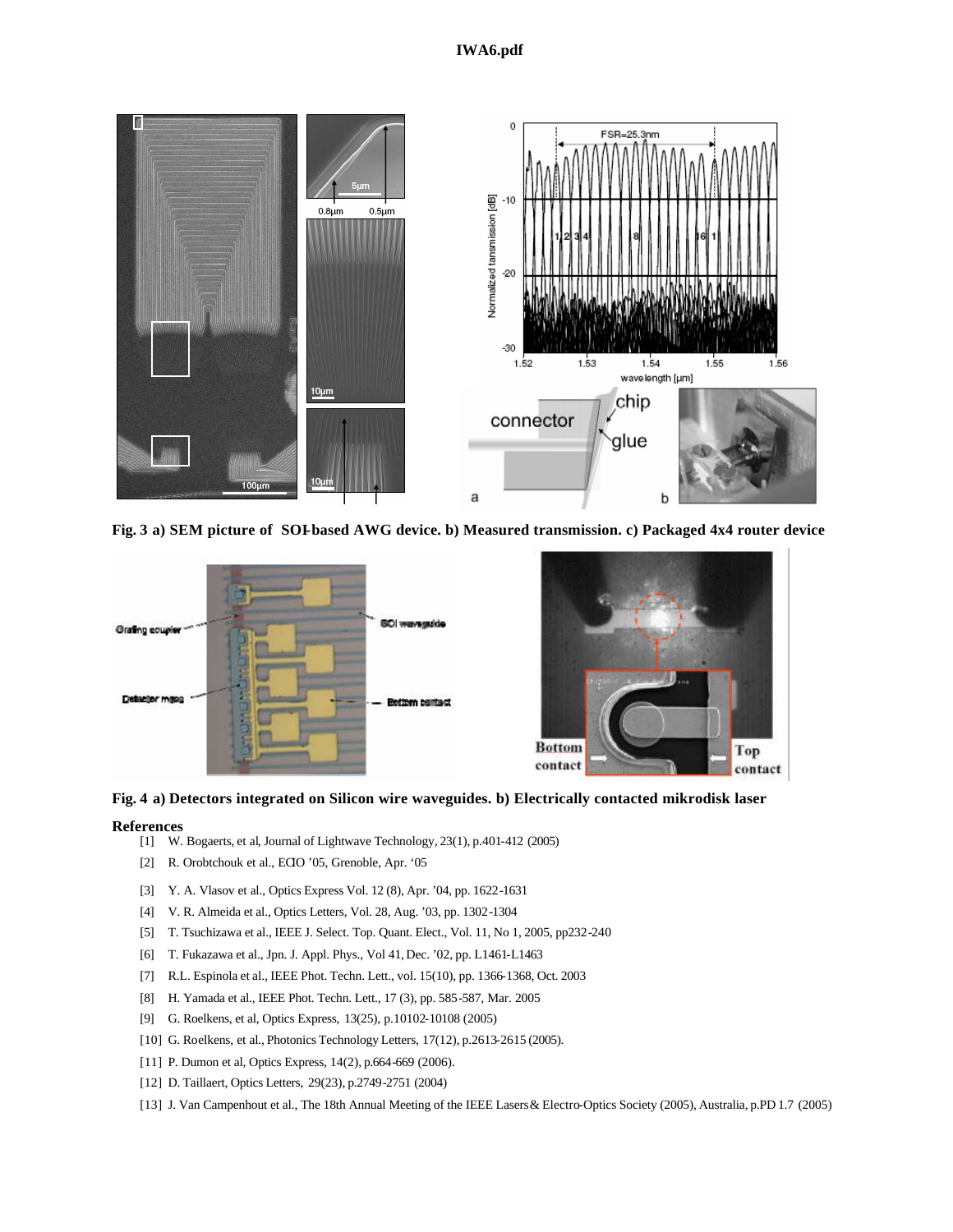

**Fig. 3 a) SEM picture of SOI-based AWG device. b) Measured transmission. c) Packaged 4x4 router device**





#### **References**

- [1] W. Bogaerts, et al, Journal of Lightwave Technology, 23(1), p.401-412 (2005)
- [2] R. Orobtchouk et al., ECIO '05, Grenoble, Apr. '05
- [3] Y. A. Vlasov et al., Optics Express Vol. 12 (8), Apr. '04, pp. 1622-1631
- [4] V. R. Almeida et al., Optics Letters, Vol. 28, Aug. '03, pp. 1302-1304
- [5] T. Tsuchizawa et al., IEEE J. Select. Top. Quant. Elect., Vol. 11, No 1, 2005, pp232-240
- [6] T. Fukazawa et al., Jpn. J. Appl. Phys., Vol 41, Dec. '02, pp. L1461-L1463
- [7] R.L. Espinola et al., IEEE Phot. Techn. Lett., vol. 15(10), pp. 1366-1368, Oct. 2003
- [8] H. Yamada et al., IEEE Phot. Techn. Lett., 17 (3), pp. 585-587, Mar. 2005
- [9] G. Roelkens, et al, Optics Express, 13(25), p.10102-10108 (2005)
- [10] G. Roelkens, et al., Photonics Technology Letters, 17(12), p.2613-2615 (2005).
- [11] P. Dumon et al, Optics Express, 14(2), p.664-669 (2006).
- [12] D. Taillaert, Optics Letters, 29(23), p.2749-2751 (2004)
- [13] J. Van Campenhout et al., The 18th Annual Meeting of the IEEE Lasers & Electro-Optics Society (2005), Australia, p.PD 1.7 (2005)